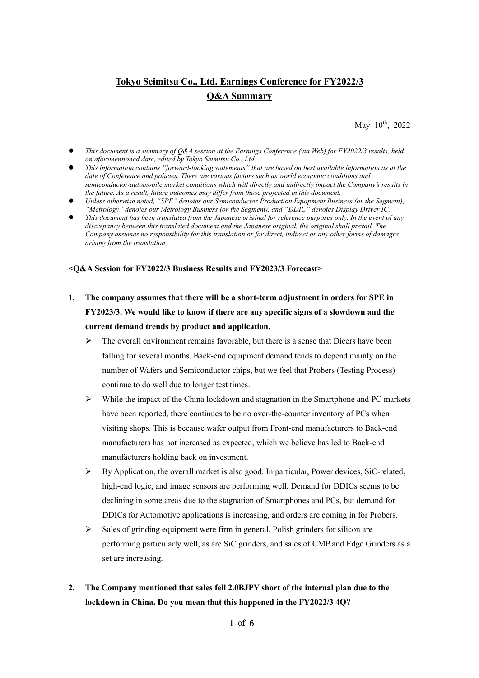# **Tokyo Seimitsu Co., Ltd. Earnings Conference for FY2022/3 Q&A Summary**

May 10<sup>th</sup>, 2022

- *This document is a summary of Q&A session at the Earnings Conference (via Web) for FY2022/3 results, held on aforementioned date, edited by Tokyo Seimitsu Co., Ltd.*
- *This information contains "forward-looking statements" that are based on best available information as at the date of Conference and policies. There are various factors such as world economic conditions and semiconductor/automobile market conditions which will directly and indirectly impact the Company's results in the future. As a result, future outcomes may differ from those projected in this document.*
- *Unless otherwise noted, "SPE" denotes our Semiconductor Production Equipment Business (or the Segment), "Metrology" denotes our Metrology Business (or the Segment), and "DDIC" denotes Display Driver IC.*
- *This document has been translated from the Japanese original for reference purposes only. In the event of any discrepancy between this translated document and the Japanese original, the original shall prevail. The Company assumes no responsibility for this translation or for direct, indirect or any other forms of damages arising from the translation.*

### **<Q&A Session for FY2022/3 Business Results and FY2023/3 Forecast>**

- **1. The company assumes that there will be a short-term adjustment in orders for SPE in FY2023/3. We would like to know if there are any specific signs of a slowdown and the current demand trends by product and application.** 
	- $\triangleright$  The overall environment remains favorable, but there is a sense that Dicers have been falling for several months. Back-end equipment demand tends to depend mainly on the number of Wafers and Semiconductor chips, but we feel that Probers (Testing Process) continue to do well due to longer test times.
	- $\triangleright$  While the impact of the China lockdown and stagnation in the Smartphone and PC markets have been reported, there continues to be no over-the-counter inventory of PCs when visiting shops. This is because wafer output from Front-end manufacturers to Back-end manufacturers has not increased as expected, which we believe has led to Back-end manufacturers holding back on investment.
	- $\triangleright$  By Application, the overall market is also good. In particular, Power devices, SiC-related, high-end logic, and image sensors are performing well. Demand for DDICs seems to be declining in some areas due to the stagnation of Smartphones and PCs, but demand for DDICs for Automotive applications is increasing, and orders are coming in for Probers.
	- $\triangleright$  Sales of grinding equipment were firm in general. Polish grinders for silicon are performing particularly well, as are SiC grinders, and sales of CMP and Edge Grinders as a set are increasing.
- **2. The Company mentioned that sales fell 2.0BJPY short of the internal plan due to the lockdown in China. Do you mean that this happened in the FY2022/3 4Q?**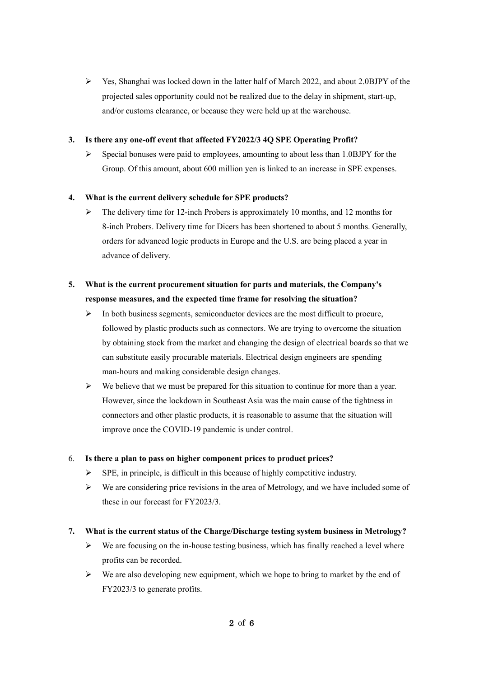Yes, Shanghai was locked down in the latter half of March 2022, and about 2.0BJPY of the projected sales opportunity could not be realized due to the delay in shipment, start-up, and/or customs clearance, or because they were held up at the warehouse.

### **3. Is there any one-off event that affected FY2022/3 4Q SPE Operating Profit?**

 $\triangleright$  Special bonuses were paid to employees, amounting to about less than 1.0BJPY for the Group. Of this amount, about 600 million yen is linked to an increase in SPE expenses.

### **4. What is the current delivery schedule for SPE products?**

 $\triangleright$  The delivery time for 12-inch Probers is approximately 10 months, and 12 months for 8-inch Probers. Delivery time for Dicers has been shortened to about 5 months. Generally, orders for advanced logic products in Europe and the U.S. are being placed a year in advance of delivery.

# **5. What is the current procurement situation for parts and materials, the Company's response measures, and the expected time frame for resolving the situation?**

- $\triangleright$  In both business segments, semiconductor devices are the most difficult to procure, followed by plastic products such as connectors. We are trying to overcome the situation by obtaining stock from the market and changing the design of electrical boards so that we can substitute easily procurable materials. Electrical design engineers are spending man-hours and making considerable design changes.
- $\triangleright$  We believe that we must be prepared for this situation to continue for more than a year. However, since the lockdown in Southeast Asia was the main cause of the tightness in connectors and other plastic products, it is reasonable to assume that the situation will improve once the COVID-19 pandemic is under control.

### 6. **Is there a plan to pass on higher component prices to product prices?**

- $\triangleright$  SPE, in principle, is difficult in this because of highly competitive industry.
- $\triangleright$  We are considering price revisions in the area of Metrology, and we have included some of these in our forecast for FY2023/3.

### **7. What is the current status of the Charge/Discharge testing system business in Metrology?**

- $\triangleright$  We are focusing on the in-house testing business, which has finally reached a level where profits can be recorded.
- $\triangleright$  We are also developing new equipment, which we hope to bring to market by the end of FY2023/3 to generate profits.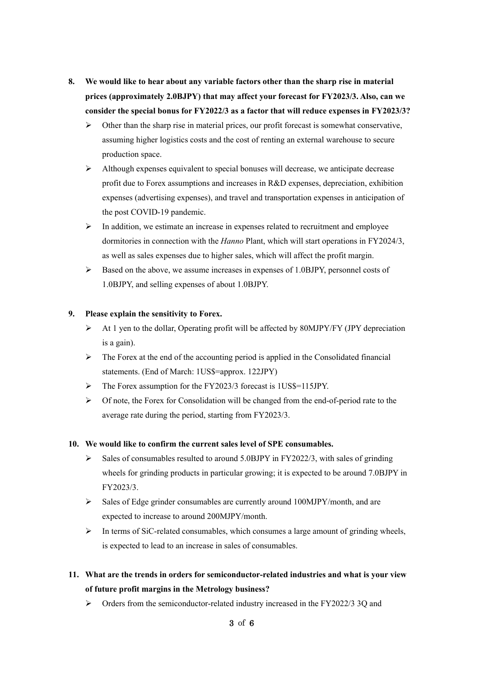- **8. We would like to hear about any variable factors other than the sharp rise in material prices (approximately 2.0BJPY) that may affect your forecast for FY2023/3. Also, can we consider the special bonus for FY2022/3 as a factor that will reduce expenses in FY2023/3?** 
	- $\triangleright$  Other than the sharp rise in material prices, our profit forecast is somewhat conservative, assuming higher logistics costs and the cost of renting an external warehouse to secure production space.
	- $\triangleright$  Although expenses equivalent to special bonuses will decrease, we anticipate decrease profit due to Forex assumptions and increases in R&D expenses, depreciation, exhibition expenses (advertising expenses), and travel and transportation expenses in anticipation of the post COVID-19 pandemic.
	- $\triangleright$  In addition, we estimate an increase in expenses related to recruitment and employee dormitories in connection with the *Hanno* Plant, which will start operations in FY2024/3, as well as sales expenses due to higher sales, which will affect the profit margin.
	- $\triangleright$  Based on the above, we assume increases in expenses of 1.0BJPY, personnel costs of 1.0BJPY, and selling expenses of about 1.0BJPY.

### **9. Please explain the sensitivity to Forex.**

- $\triangleright$  At 1 yen to the dollar, Operating profit will be affected by 80MJPY/FY (JPY depreciation is a gain).
- $\triangleright$  The Forex at the end of the accounting period is applied in the Consolidated financial statements. (End of March: 1US\$=approx. 122JPY)
- The Forex assumption for the FY2023/3 forecast is 1US\$=115JPY.
- $\triangleright$  Of note, the Forex for Consolidation will be changed from the end-of-period rate to the average rate during the period, starting from FY2023/3.

### **10. We would like to confirm the current sales level of SPE consumables.**

- $\triangleright$  Sales of consumables resulted to around 5.0BJPY in FY2022/3, with sales of grinding wheels for grinding products in particular growing; it is expected to be around 7.0BJPY in FY2023/3.
- $\triangleright$  Sales of Edge grinder consumables are currently around 100MJPY/month, and are expected to increase to around 200MJPY/month.
- $\triangleright$  In terms of SiC-related consumables, which consumes a large amount of grinding wheels, is expected to lead to an increase in sales of consumables.
- **11. What are the trends in orders for semiconductor-related industries and what is your view of future profit margins in the Metrology business?** 
	- Orders from the semiconductor-related industry increased in the FY2022/3 3Q and

### 3 of 6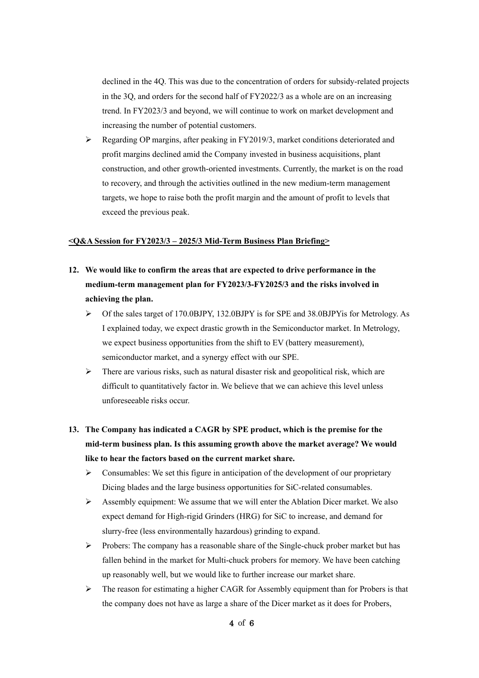declined in the 4Q. This was due to the concentration of orders for subsidy-related projects in the 3Q, and orders for the second half of FY2022/3 as a whole are on an increasing trend. In FY2023/3 and beyond, we will continue to work on market development and increasing the number of potential customers.

 $\triangleright$  Regarding OP margins, after peaking in FY2019/3, market conditions deteriorated and profit margins declined amid the Company invested in business acquisitions, plant construction, and other growth-oriented investments. Currently, the market is on the road to recovery, and through the activities outlined in the new medium-term management targets, we hope to raise both the profit margin and the amount of profit to levels that exceed the previous peak.

#### **<Q&A Session for FY2023/3 – 2025/3 Mid-Term Business Plan Briefing>**

- **12. We would like to confirm the areas that are expected to drive performance in the medium-term management plan for FY2023/3-FY2025/3 and the risks involved in achieving the plan.** 
	- $\triangleright$  Of the sales target of 170.0BJPY, 132.0BJPY is for SPE and 38.0BJPY is for Metrology. As I explained today, we expect drastic growth in the Semiconductor market. In Metrology, we expect business opportunities from the shift to EV (battery measurement), semiconductor market, and a synergy effect with our SPE.
	- $\triangleright$  There are various risks, such as natural disaster risk and geopolitical risk, which are difficult to quantitatively factor in. We believe that we can achieve this level unless unforeseeable risks occur.
- **13. The Company has indicated a CAGR by SPE product, which is the premise for the mid-term business plan. Is this assuming growth above the market average? We would like to hear the factors based on the current market share.** 
	- $\triangleright$  Consumables: We set this figure in anticipation of the development of our proprietary Dicing blades and the large business opportunities for SiC-related consumables.
	- $\triangleright$  Assembly equipment: We assume that we will enter the Ablation Dicer market. We also expect demand for High-rigid Grinders (HRG) for SiC to increase, and demand for slurry-free (less environmentally hazardous) grinding to expand.
	- $\triangleright$  Probers: The company has a reasonable share of the Single-chuck prober market but has fallen behind in the market for Multi-chuck probers for memory. We have been catching up reasonably well, but we would like to further increase our market share.
	- $\triangleright$  The reason for estimating a higher CAGR for Assembly equipment than for Probers is that the company does not have as large a share of the Dicer market as it does for Probers,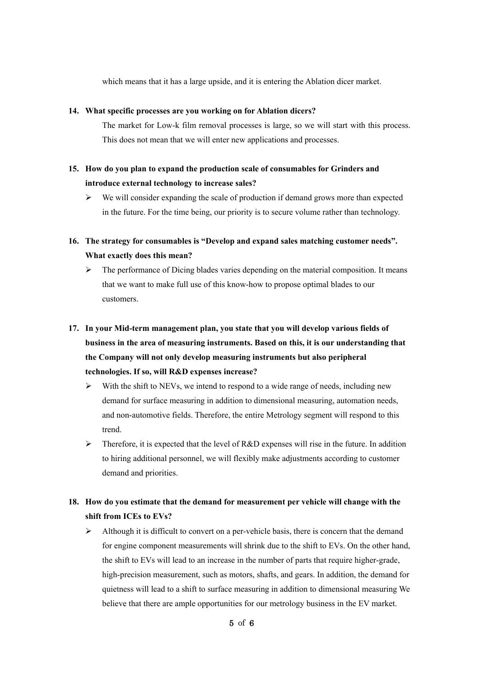which means that it has a large upside, and it is entering the Ablation dicer market.

### **14. What specific processes are you working on for Ablation dicers?**

The market for Low-k film removal processes is large, so we will start with this process. This does not mean that we will enter new applications and processes.

- **15. How do you plan to expand the production scale of consumables for Grinders and introduce external technology to increase sales?** 
	- $\triangleright$  We will consider expanding the scale of production if demand grows more than expected in the future. For the time being, our priority is to secure volume rather than technology.
- **16. The strategy for consumables is "Develop and expand sales matching customer needs". What exactly does this mean?** 
	- $\triangleright$  The performance of Dicing blades varies depending on the material composition. It means that we want to make full use of this know-how to propose optimal blades to our customers.
- **17. In your Mid-term management plan, you state that you will develop various fields of business in the area of measuring instruments. Based on this, it is our understanding that the Company will not only develop measuring instruments but also peripheral technologies. If so, will R&D expenses increase?** 
	- $\triangleright$  With the shift to NEVs, we intend to respond to a wide range of needs, including new demand for surface measuring in addition to dimensional measuring, automation needs, and non-automotive fields. Therefore, the entire Metrology segment will respond to this trend.
	- $\triangleright$  Therefore, it is expected that the level of R&D expenses will rise in the future. In addition to hiring additional personnel, we will flexibly make adjustments according to customer demand and priorities.

# **18. How do you estimate that the demand for measurement per vehicle will change with the shift from ICEs to EVs?**

 $\triangleright$  Although it is difficult to convert on a per-vehicle basis, there is concern that the demand for engine component measurements will shrink due to the shift to EVs. On the other hand, the shift to EVs will lead to an increase in the number of parts that require higher-grade, high-precision measurement, such as motors, shafts, and gears. In addition, the demand for quietness will lead to a shift to surface measuring in addition to dimensional measuring We believe that there are ample opportunities for our metrology business in the EV market.